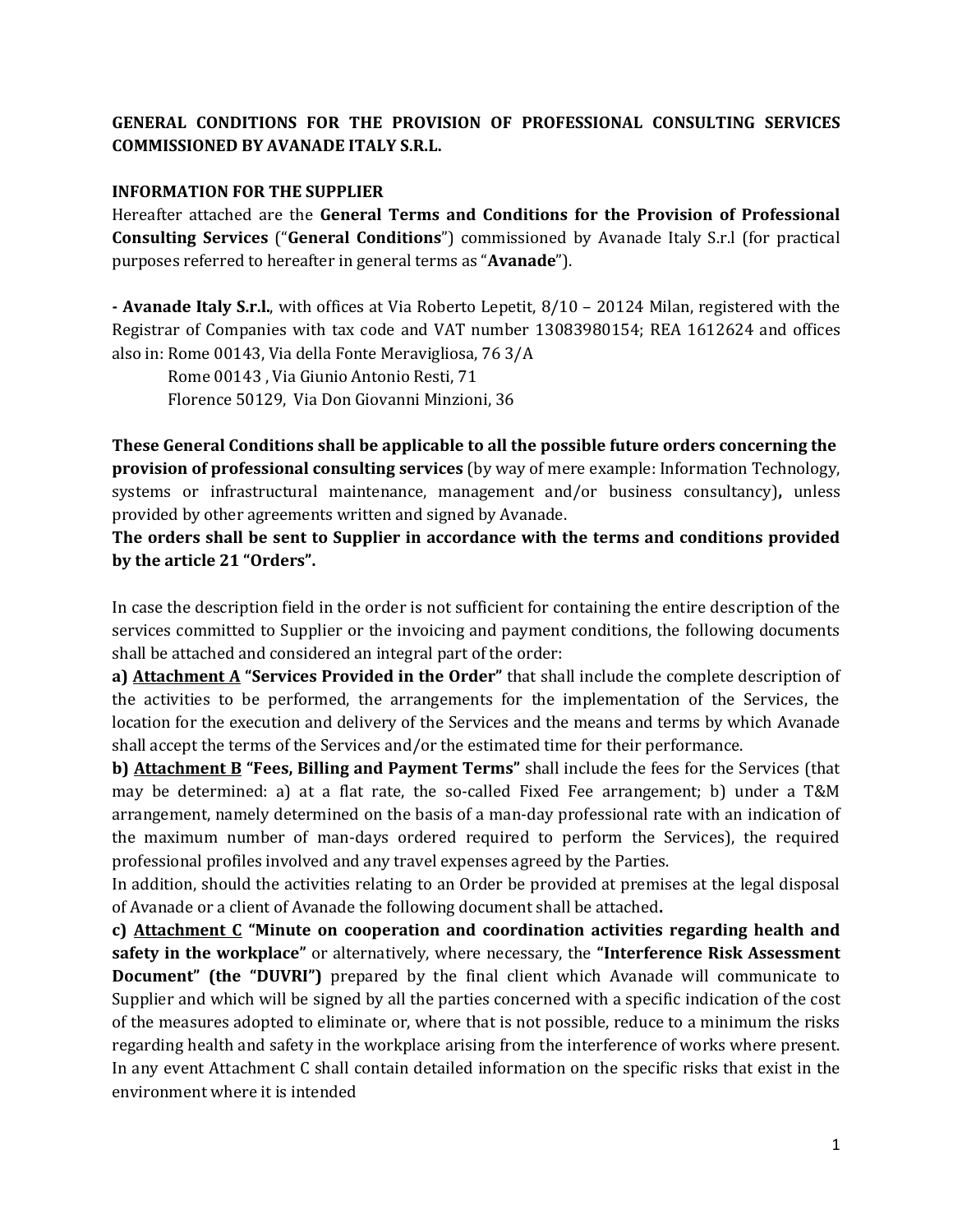## **GENERAL CONDITIONS FOR THE PROVISION OF PROFESSIONAL CONSULTING SERVICES COMMISSIONED BY AVANADE ITALY S.R.L.**

## **INFORMATION FOR THE SUPPLIER**

Hereafter attached are the **General Terms and Conditions for the Provision of Professional Consulting Services** ("**General Conditions**") commissioned by Avanade Italy S.r.l (for practical purposes referred to hereafter in general terms as "**Avanade**").

**- Avanade Italy S.r.l.**, with offices at Via Roberto Lepetit, 8/10 – 20124 Milan, registered with the Registrar of Companies with tax code and VAT number 13083980154; REA 1612624 and offices also in: Rome 00143, Via della Fonte Meravigliosa, 76 3/A

Rome 00143 , Via Giunio Antonio Resti, 71 Florence 50129, Via Don Giovanni Minzioni, 36

**These General Conditions shall be applicable to all the possible future orders concerning the provision of professional consulting services** (by way of mere example: Information Technology, systems or infrastructural maintenance, management and/or business consultancy)**,** unless provided by other agreements written and signed by Avanade.

**The orders shall be sent to Supplier in accordance with the terms and conditions provided by the article 21 "Orders".**

In case the description field in the order is not sufficient for containing the entire description of the services committed to Supplier or the invoicing and payment conditions, the following documents shall be attached and considered an integral part of the order:

**a) Attachment A "Services Provided in the Order"** that shall include the complete description of the activities to be performed, the arrangements for the implementation of the Services, the location for the execution and delivery of the Services and the means and terms by which Avanade shall accept the terms of the Services and/or the estimated time for their performance.

**b) Attachment B "Fees, Billing and Payment Terms"** shall include the fees for the Services (that may be determined: a) at a flat rate, the so-called Fixed Fee arrangement; b) under a T&M arrangement, namely determined on the basis of a man-day professional rate with an indication of the maximum number of man-days ordered required to perform the Services), the required professional profiles involved and any travel expenses agreed by the Parties.

In addition, should the activities relating to an Order be provided at premises at the legal disposal of Avanade or a client of Avanade the following document shall be attached**.**

**c) Attachment C "Minute on cooperation and coordination activities regarding health and safety in the workplace"** or alternatively, where necessary, the **"Interference Risk Assessment Document" (the "DUVRI")** prepared by the final client which Avanade will communicate to Supplier and which will be signed by all the parties concerned with a specific indication of the cost of the measures adopted to eliminate or, where that is not possible, reduce to a minimum the risks regarding health and safety in the workplace arising from the interference of works where present. In any event Attachment C shall contain detailed information on the specific risks that exist in the environment where it is intended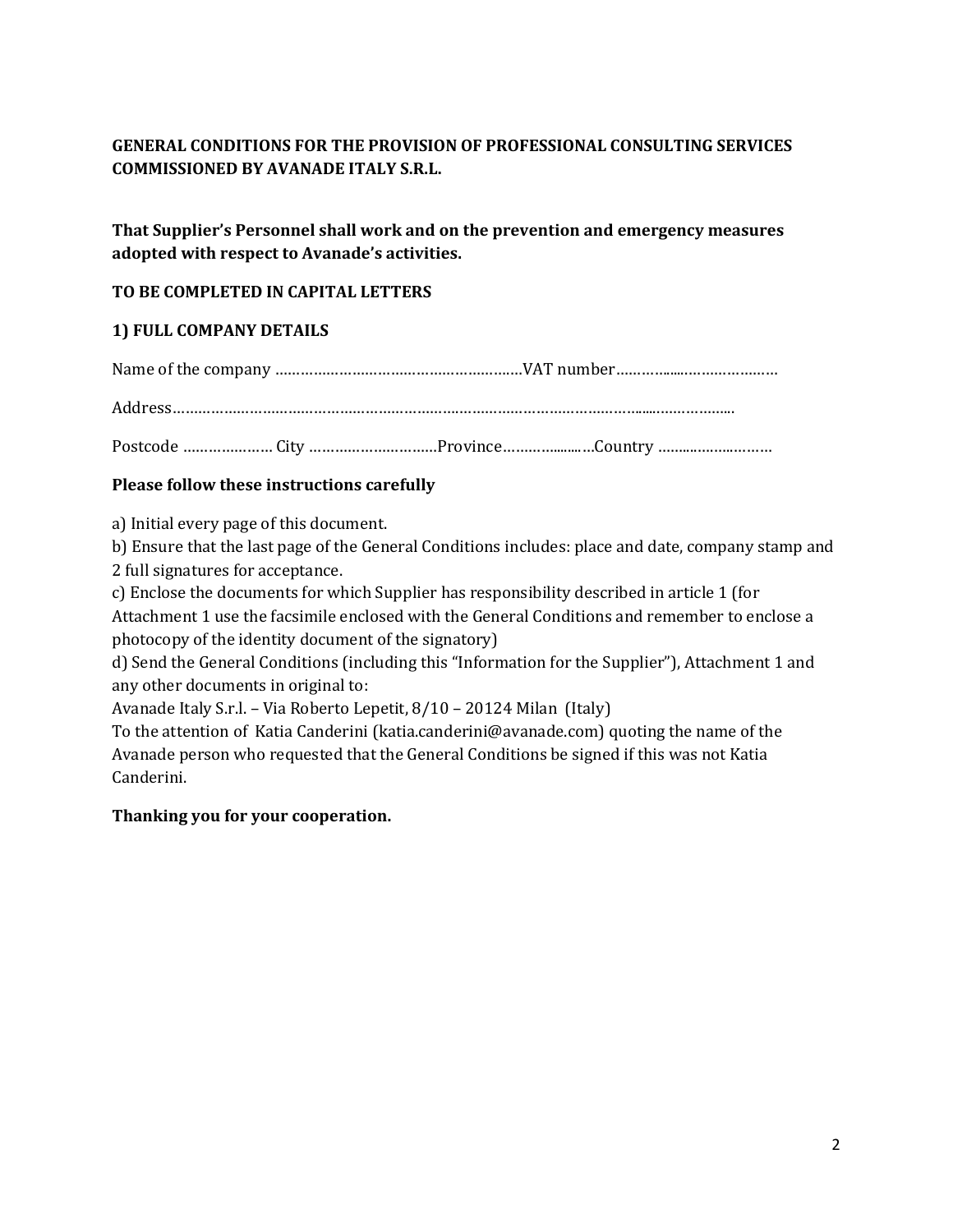## **GENERAL CONDITIONS FOR THE PROVISION OF PROFESSIONAL CONSULTING SERVICES COMMISSIONED BY AVANADE ITALY S.R.L.**

**That Supplier's Personnel shall work and on the prevention and emergency measures adopted with respect to Avanade's activities.**

## **TO BE COMPLETED IN CAPITAL LETTERS**

## **1) FULL COMPANY DETAILS**

Name of the company ……………………………………………….…VAT number…………......…………………

Address………………………………………………………….……………………………………......……………...

Postcode ………………………………………………………………Province………………………Country …………………………………………………………

## **Please follow these instructions carefully**

a) Initial every page of this document.

b) Ensure that the last page of the General Conditions includes: place and date, company stamp and 2 full signatures for acceptance.

c) Enclose the documents for which Supplier has responsibility described in article 1 (for Attachment 1 use the facsimile enclosed with the General Conditions and remember to enclose a photocopy of the identity document of the signatory)

d) Send the General Conditions (including this "Information for the Supplier"), Attachment 1 and any other documents in original to:

Avanade Italy S.r.l. – Via Roberto Lepetit, 8/10 – 20124 Milan (Italy)

To the attention of Katia Canderini (katia.canderini@avanade.com) quoting the name of the Avanade person who requested that the General Conditions be signed if this was not Katia Canderini.

## **Thanking you for your cooperation.**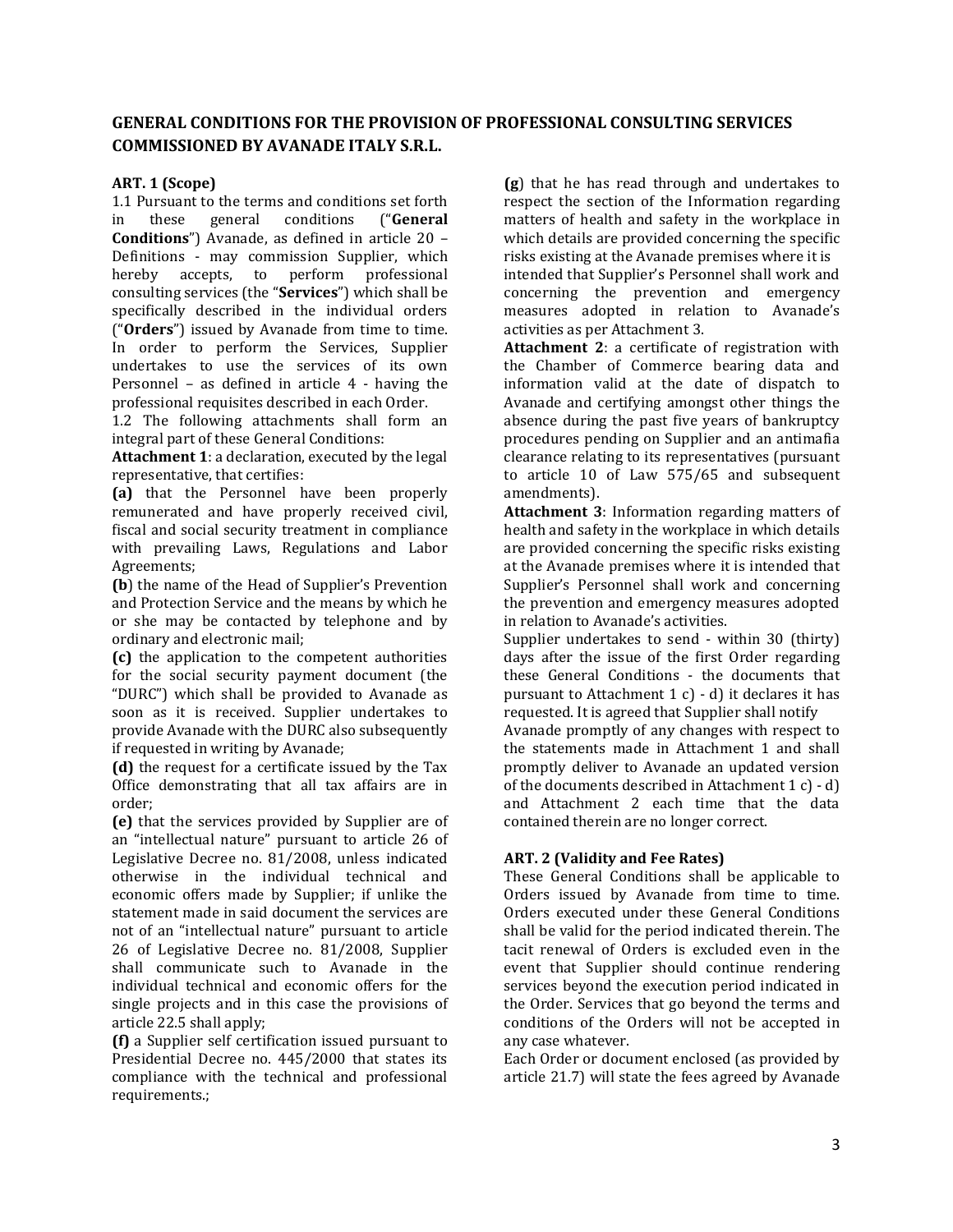## **GENERAL CONDITIONS FOR THE PROVISION OF PROFESSIONAL CONSULTING SERVICES COMMISSIONED BY AVANADE ITALY S.R.L.**

## **ART. 1 (Scope)**

1.1 Pursuant to the terms and conditions set forth in these general conditions ("**General Conditions**") Avanade, as defined in article 20 – Definitions - may commission Supplier, which hereby accepts, to perform professional consulting services (the "**Services**") which shall be specifically described in the individual orders ("**Orders**") issued by Avanade from time to time. In order to perform the Services, Supplier undertakes to use the services of its own Personnel – as defined in article 4 - having the professional requisites described in each Order.

1.2 The following attachments shall form an integral part of these General Conditions:

**Attachment 1**: a declaration, executed by the legal representative, that certifies:

**(a)** that the Personnel have been properly remunerated and have properly received civil, fiscal and social security treatment in compliance with prevailing Laws, Regulations and Labor Agreements;

**(b**) the name of the Head of Supplier's Prevention and Protection Service and the means by which he or she may be contacted by telephone and by ordinary and electronic mail;

**(c)** the application to the competent authorities for the social security payment document (the "DURC") which shall be provided to Avanade as soon as it is received. Supplier undertakes to provide Avanade with the DURC also subsequently if requested in writing by Avanade;

**(d)** the request for a certificate issued by the Tax Office demonstrating that all tax affairs are in order;

**(e)** that the services provided by Supplier are of an "intellectual nature" pursuant to article 26 of Legislative Decree no. 81/2008, unless indicated otherwise in the individual technical and economic offers made by Supplier; if unlike the statement made in said document the services are not of an "intellectual nature" pursuant to article 26 of Legislative Decree no. 81/2008, Supplier shall communicate such to Avanade in the individual technical and economic offers for the single projects and in this case the provisions of article 22.5 shall apply;

**(f)** a Supplier self certification issued pursuant to Presidential Decree no. 445/2000 that states its compliance with the technical and professional requirements.;

**(g**) that he has read through and undertakes to respect the section of the Information regarding matters of health and safety in the workplace in which details are provided concerning the specific risks existing at the Avanade premises where it is intended that Supplier's Personnel shall work and concerning the prevention and emergency measures adopted in relation to Avanade's activities as per Attachment 3.

**Attachment 2**: a certificate of registration with the Chamber of Commerce bearing data and information valid at the date of dispatch to Avanade and certifying amongst other things the absence during the past five years of bankruptcy procedures pending on Supplier and an antimafia clearance relating to its representatives (pursuant to article 10 of Law 575/65 and subsequent amendments).

**Attachment 3**: Information regarding matters of health and safety in the workplace in which details are provided concerning the specific risks existing at the Avanade premises where it is intended that Supplier's Personnel shall work and concerning the prevention and emergency measures adopted in relation to Avanade's activities.

Supplier undertakes to send - within 30 (thirty) days after the issue of the first Order regarding these General Conditions - the documents that pursuant to Attachment  $1 c$ ) - d) it declares it has requested. It is agreed that Supplier shall notify

Avanade promptly of any changes with respect to the statements made in Attachment 1 and shall promptly deliver to Avanade an updated version of the documents described in Attachment 1 c) - d) and Attachment 2 each time that the data contained therein are no longer correct.

### **ART. 2 (Validity and Fee Rates)**

These General Conditions shall be applicable to Orders issued by Avanade from time to time. Orders executed under these General Conditions shall be valid for the period indicated therein. The tacit renewal of Orders is excluded even in the event that Supplier should continue rendering services beyond the execution period indicated in the Order. Services that go beyond the terms and conditions of the Orders will not be accepted in any case whatever.

Each Order or document enclosed (as provided by article 21.7) will state the fees agreed by Avanade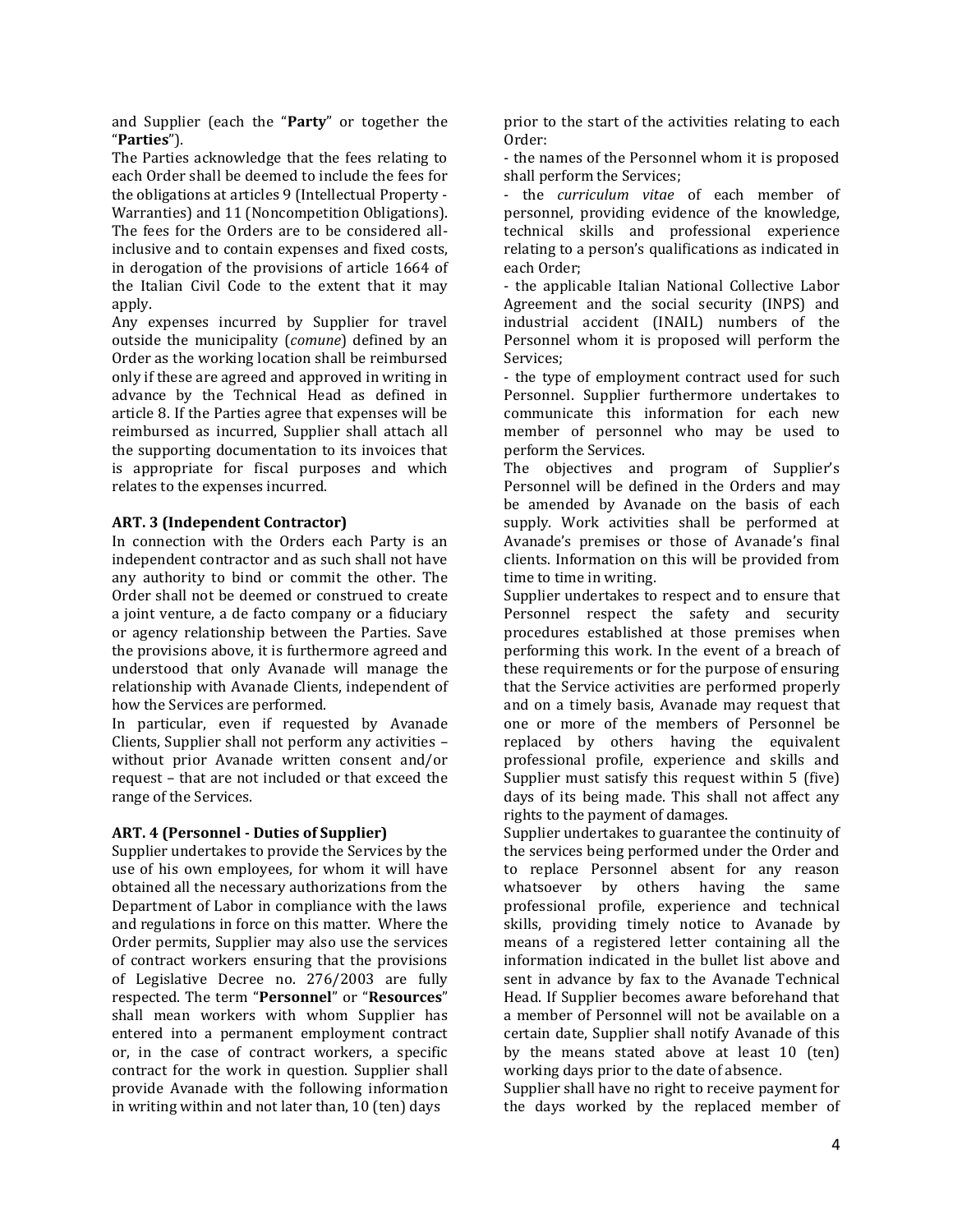and Supplier (each the "**Party**" or together the "**Parties**").

The Parties acknowledge that the fees relating to each Order shall be deemed to include the fees for the obligations at articles 9 (Intellectual Property - Warranties) and 11 (Noncompetition Obligations). The fees for the Orders are to be considered allinclusive and to contain expenses and fixed costs, in derogation of the provisions of article 1664 of the Italian Civil Code to the extent that it may apply.

Any expenses incurred by Supplier for travel outside the municipality (*comune*) defined by an Order as the working location shall be reimbursed only if these are agreed and approved in writing in advance by the Technical Head as defined in article 8. If the Parties agree that expenses will be reimbursed as incurred, Supplier shall attach all the supporting documentation to its invoices that is appropriate for fiscal purposes and which relates to the expenses incurred.

### **ART. 3 (Independent Contractor)**

In connection with the Orders each Party is an independent contractor and as such shall not have any authority to bind or commit the other. The Order shall not be deemed or construed to create a joint venture, a de facto company or a fiduciary or agency relationship between the Parties. Save the provisions above, it is furthermore agreed and understood that only Avanade will manage the relationship with Avanade Clients, independent of how the Services are performed.

In particular, even if requested by Avanade Clients, Supplier shall not perform any activities – without prior Avanade written consent and/or request – that are not included or that exceed the range of the Services.

#### **ART. 4 (Personnel - Duties of Supplier)**

Supplier undertakes to provide the Services by the use of his own employees, for whom it will have obtained all the necessary authorizations from the Department of Labor in compliance with the laws and regulations in force on this matter. Where the Order permits, Supplier may also use the services of contract workers ensuring that the provisions of Legislative Decree no. 276/2003 are fully respected. The term "**Personnel**" or "**Resources**" shall mean workers with whom Supplier has entered into a permanent employment contract or, in the case of contract workers, a specific contract for the work in question. Supplier shall provide Avanade with the following information in writing within and not later than, 10 (ten) days

prior to the start of the activities relating to each Order:

- the names of the Personnel whom it is proposed shall perform the Services;

- the *curriculum vitae* of each member of personnel, providing evidence of the knowledge, technical skills and professional experience relating to a person's qualifications as indicated in each Order;

- the applicable Italian National Collective Labor Agreement and the social security (INPS) and industrial accident (INAIL) numbers of the Personnel whom it is proposed will perform the Services;

- the type of employment contract used for such Personnel. Supplier furthermore undertakes to communicate this information for each new member of personnel who may be used to perform the Services.

The objectives and program of Supplier's Personnel will be defined in the Orders and may be amended by Avanade on the basis of each supply. Work activities shall be performed at Avanade's premises or those of Avanade's final clients. Information on this will be provided from time to time in writing.

Supplier undertakes to respect and to ensure that Personnel respect the safety and security procedures established at those premises when performing this work. In the event of a breach of these requirements or for the purpose of ensuring that the Service activities are performed properly and on a timely basis, Avanade may request that one or more of the members of Personnel be replaced by others having the equivalent professional profile, experience and skills and Supplier must satisfy this request within 5 (five) days of its being made. This shall not affect any rights to the payment of damages.

Supplier undertakes to guarantee the continuity of the services being performed under the Order and to replace Personnel absent for any reason whatsoever by others having the same professional profile, experience and technical skills, providing timely notice to Avanade by means of a registered letter containing all the information indicated in the bullet list above and sent in advance by fax to the Avanade Technical Head. If Supplier becomes aware beforehand that a member of Personnel will not be available on a certain date, Supplier shall notify Avanade of this by the means stated above at least 10 (ten) working days prior to the date of absence.

Supplier shall have no right to receive payment for the days worked by the replaced member of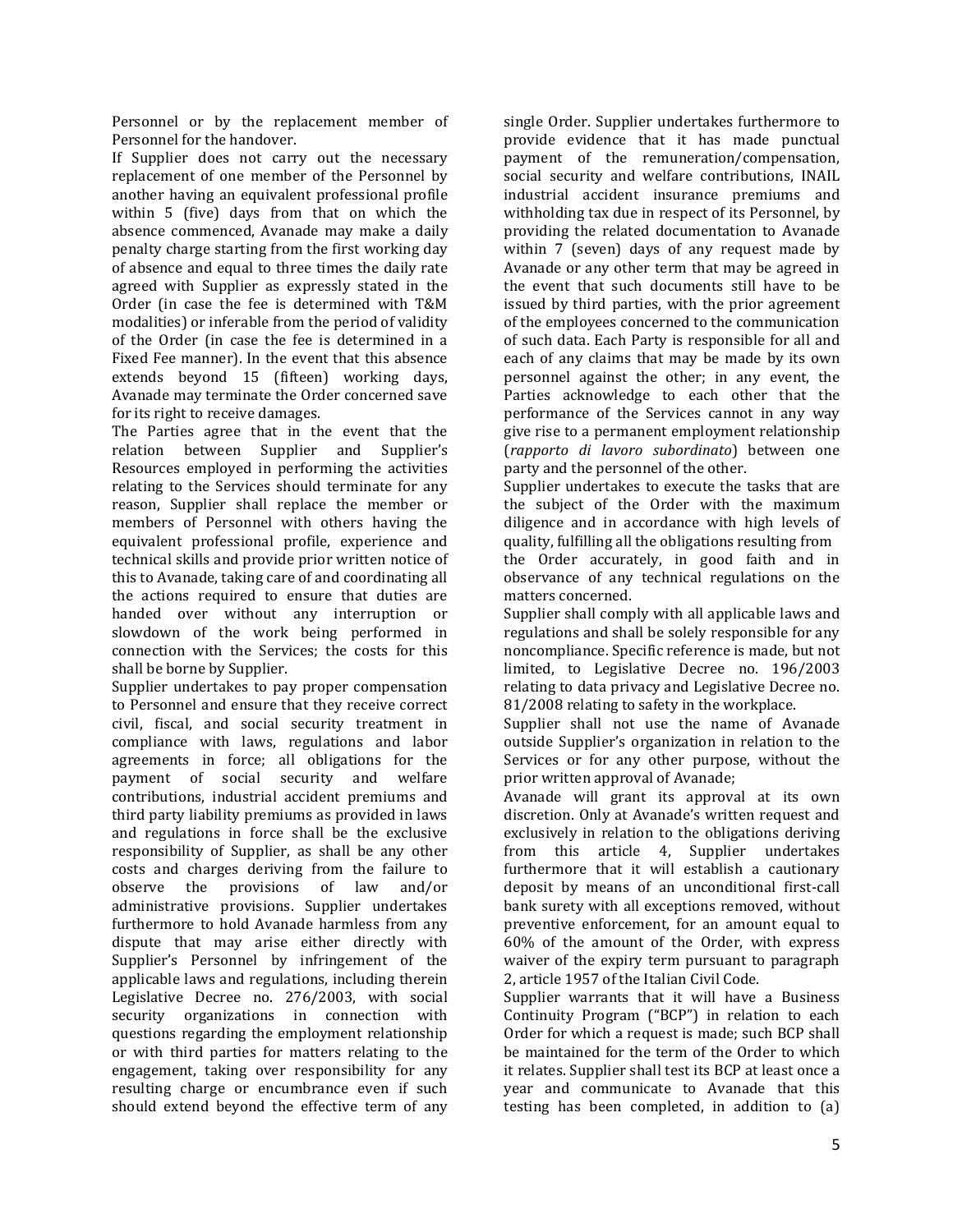Personnel or by the replacement member of Personnel for the handover.

If Supplier does not carry out the necessary replacement of one member of the Personnel by another having an equivalent professional profile within 5 (five) days from that on which the absence commenced, Avanade may make a daily penalty charge starting from the first working day of absence and equal to three times the daily rate agreed with Supplier as expressly stated in the Order (in case the fee is determined with T&M modalities) or inferable from the period of validity of the Order (in case the fee is determined in a Fixed Fee manner). In the event that this absence extends beyond 15 (fifteen) working days, Avanade may terminate the Order concerned save for its right to receive damages.

The Parties agree that in the event that the relation between Supplier and Supplier's Resources employed in performing the activities relating to the Services should terminate for any reason, Supplier shall replace the member or members of Personnel with others having the equivalent professional profile, experience and technical skills and provide prior written notice of this to Avanade, taking care of and coordinating all the actions required to ensure that duties are handed over without any interruption or slowdown of the work being performed in connection with the Services; the costs for this shall be borne by Supplier.

Supplier undertakes to pay proper compensation to Personnel and ensure that they receive correct civil, fiscal, and social security treatment in compliance with laws, regulations and labor agreements in force; all obligations for the payment of social security and welfare contributions, industrial accident premiums and third party liability premiums as provided in laws and regulations in force shall be the exclusive responsibility of Supplier, as shall be any other costs and charges deriving from the failure to observe the provisions of law and/or administrative provisions. Supplier undertakes furthermore to hold Avanade harmless from any dispute that may arise either directly with Supplier's Personnel by infringement of the applicable laws and regulations, including therein Legislative Decree no. 276/2003, with social security organizations in connection with questions regarding the employment relationship or with third parties for matters relating to the engagement, taking over responsibility for any resulting charge or encumbrance even if such should extend beyond the effective term of any

single Order. Supplier undertakes furthermore to provide evidence that it has made punctual payment of the remuneration/compensation, social security and welfare contributions, INAIL industrial accident insurance premiums and withholding tax due in respect of its Personnel, by providing the related documentation to Avanade within 7 (seven) days of any request made by Avanade or any other term that may be agreed in the event that such documents still have to be issued by third parties, with the prior agreement of the employees concerned to the communication of such data. Each Party is responsible for all and each of any claims that may be made by its own personnel against the other; in any event, the Parties acknowledge to each other that the performance of the Services cannot in any way give rise to a permanent employment relationship (*rapporto di lavoro subordinato*) between one party and the personnel of the other.

Supplier undertakes to execute the tasks that are the subject of the Order with the maximum diligence and in accordance with high levels of quality, fulfilling all the obligations resulting from

the Order accurately, in good faith and in observance of any technical regulations on the matters concerned.

Supplier shall comply with all applicable laws and regulations and shall be solely responsible for any noncompliance. Specific reference is made, but not limited, to Legislative Decree no. 196/2003 relating to data privacy and Legislative Decree no. 81/2008 relating to safety in the workplace.

Supplier shall not use the name of Avanade outside Supplier's organization in relation to the Services or for any other purpose, without the prior written approval of Avanade;

Avanade will grant its approval at its own discretion. Only at Avanade's written request and exclusively in relation to the obligations deriving from this article 4, Supplier undertakes furthermore that it will establish a cautionary deposit by means of an unconditional first-call bank surety with all exceptions removed, without preventive enforcement, for an amount equal to 60% of the amount of the Order, with express waiver of the expiry term pursuant to paragraph 2, article 1957 of the Italian Civil Code.

Supplier warrants that it will have a Business Continuity Program ("BCP") in relation to each Order for which a request is made; such BCP shall be maintained for the term of the Order to which it relates. Supplier shall test its BCP at least once a year and communicate to Avanade that this testing has been completed, in addition to (a)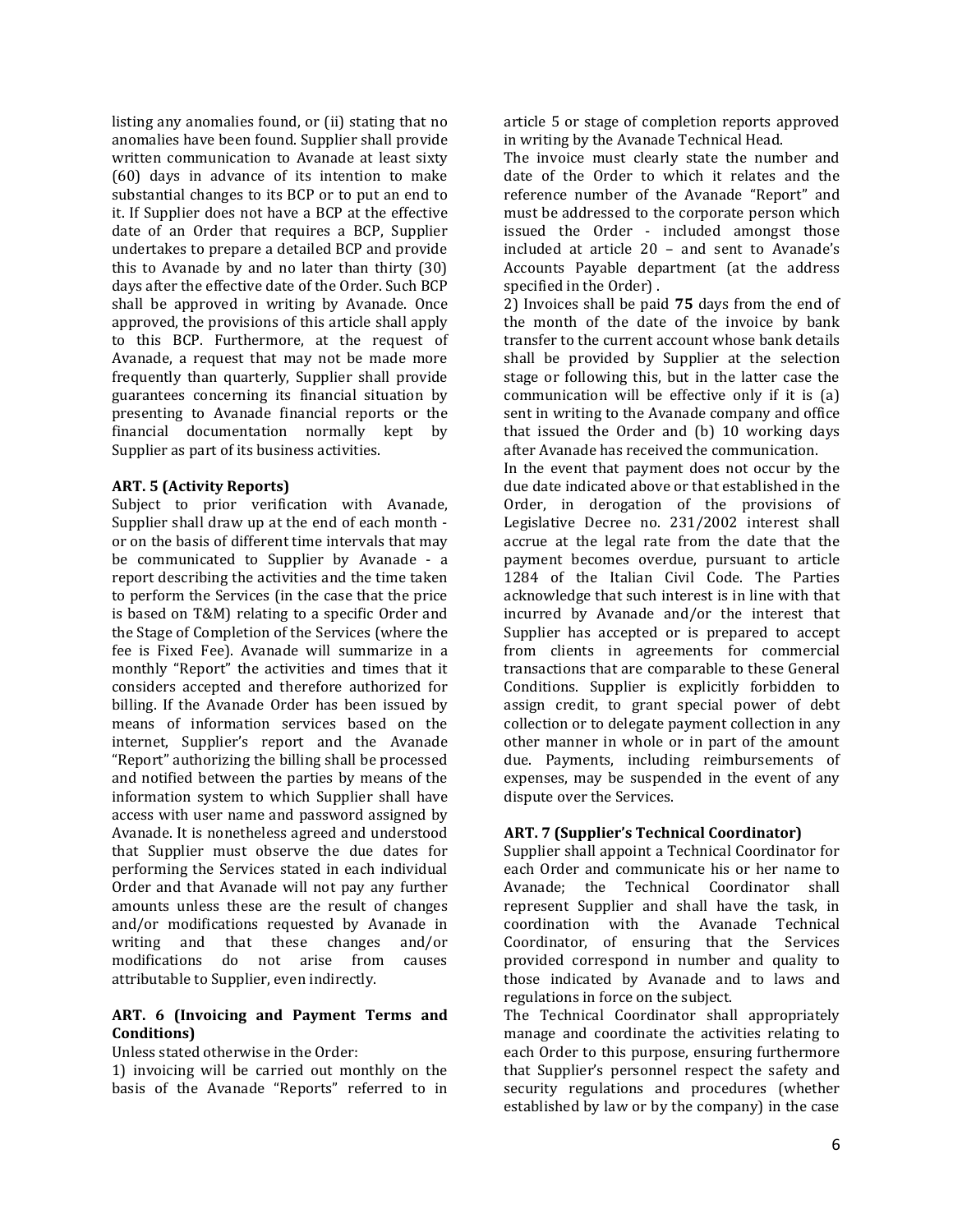listing any anomalies found, or (ii) stating that no anomalies have been found. Supplier shall provide written communication to Avanade at least sixty (60) days in advance of its intention to make substantial changes to its BCP or to put an end to it. If Supplier does not have a BCP at the effective date of an Order that requires a BCP, Supplier undertakes to prepare a detailed BCP and provide this to Avanade by and no later than thirty (30) days after the effective date of the Order. Such BCP shall be approved in writing by Avanade. Once approved, the provisions of this article shall apply to this BCP. Furthermore, at the request of Avanade, a request that may not be made more frequently than quarterly, Supplier shall provide guarantees concerning its financial situation by presenting to Avanade financial reports or the financial documentation normally kept by Supplier as part of its business activities.

#### **ART. 5 (Activity Reports)**

Subject to prior verification with Avanade, Supplier shall draw up at the end of each month or on the basis of different time intervals that may be communicated to Supplier by Avanade - a report describing the activities and the time taken to perform the Services (in the case that the price is based on T&M) relating to a specific Order and the Stage of Completion of the Services (where the fee is Fixed Fee). Avanade will summarize in a monthly "Report" the activities and times that it considers accepted and therefore authorized for billing. If the Avanade Order has been issued by means of information services based on the internet, Supplier's report and the Avanade "Report" authorizing the billing shall be processed and notified between the parties by means of the information system to which Supplier shall have access with user name and password assigned by Avanade. It is nonetheless agreed and understood that Supplier must observe the due dates for performing the Services stated in each individual Order and that Avanade will not pay any further amounts unless these are the result of changes and/or modifications requested by Avanade in writing and that these changes and/or modifications do not arise from causes attributable to Supplier, even indirectly.

### **ART. 6 (Invoicing and Payment Terms and Conditions)**

### Unless stated otherwise in the Order:

1) invoicing will be carried out monthly on the basis of the Avanade "Reports" referred to in article 5 or stage of completion reports approved in writing by the Avanade Technical Head.

The invoice must clearly state the number and date of the Order to which it relates and the reference number of the Avanade "Report" and must be addressed to the corporate person which issued the Order - included amongst those included at article 20 – and sent to Avanade's Accounts Payable department (at the address specified in the Order) .

2) Invoices shall be paid **75** days from the end of the month of the date of the invoice by bank transfer to the current account whose bank details shall be provided by Supplier at the selection stage or following this, but in the latter case the communication will be effective only if it is (a) sent in writing to the Avanade company and office that issued the Order and (b) 10 working days after Avanade has received the communication.

In the event that payment does not occur by the due date indicated above or that established in the Order, in derogation of the provisions of Legislative Decree no. 231/2002 interest shall accrue at the legal rate from the date that the payment becomes overdue, pursuant to article 1284 of the Italian Civil Code. The Parties acknowledge that such interest is in line with that incurred by Avanade and/or the interest that Supplier has accepted or is prepared to accept from clients in agreements for commercial transactions that are comparable to these General Conditions. Supplier is explicitly forbidden to assign credit, to grant special power of debt collection or to delegate payment collection in any other manner in whole or in part of the amount due. Payments, including reimbursements of expenses, may be suspended in the event of any dispute over the Services.

## **ART. 7 (Supplier's Technical Coordinator)**

Supplier shall appoint a Technical Coordinator for each Order and communicate his or her name to Avanade; the Technical Coordinator shall represent Supplier and shall have the task, in coordination with the Avanade Technical Coordinator, of ensuring that the Services provided correspond in number and quality to those indicated by Avanade and to laws and regulations in force on the subject.

The Technical Coordinator shall appropriately manage and coordinate the activities relating to each Order to this purpose, ensuring furthermore that Supplier's personnel respect the safety and security regulations and procedures (whether established by law or by the company) in the case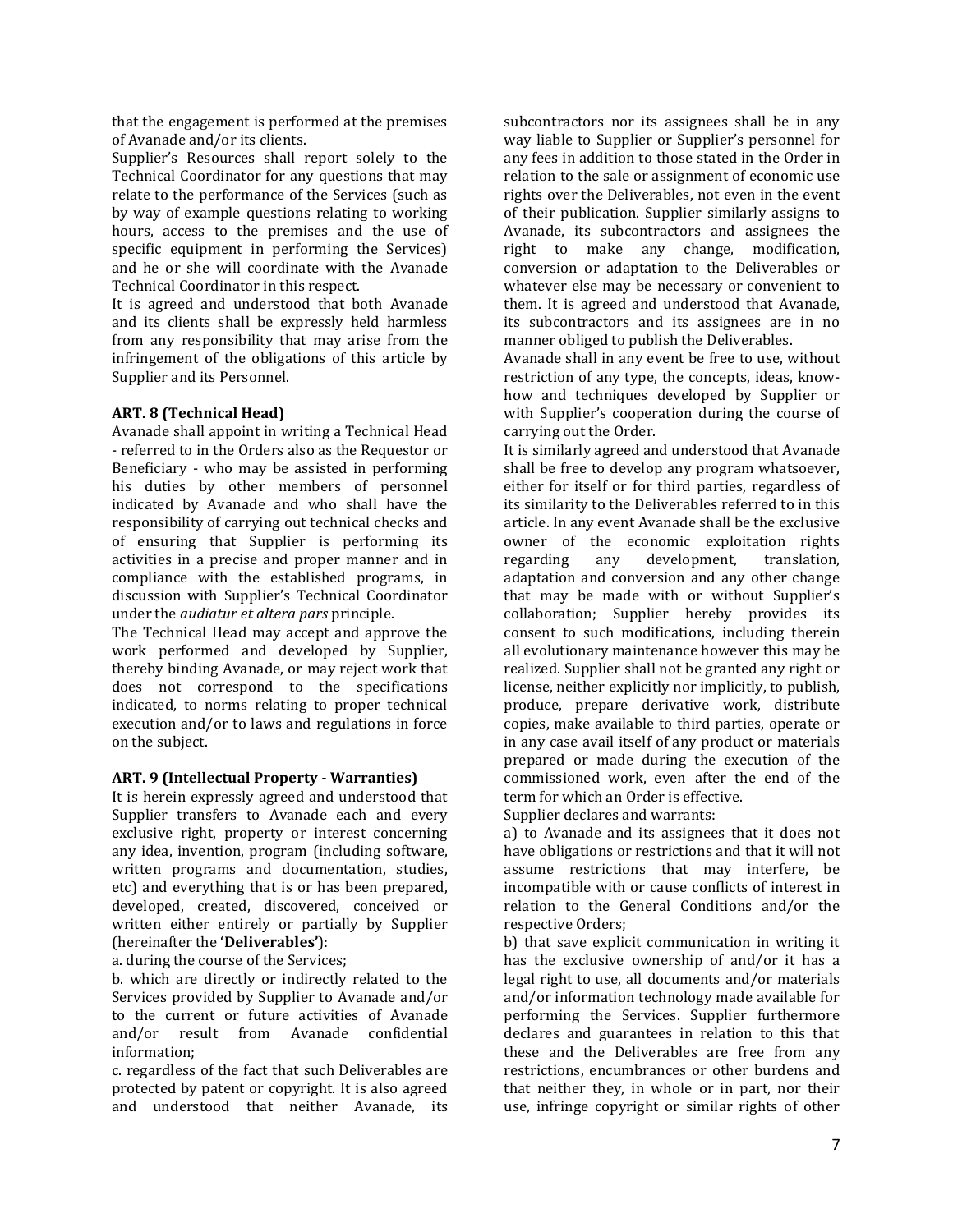that the engagement is performed at the premises of Avanade and/or its clients.

Supplier's Resources shall report solely to the Technical Coordinator for any questions that may relate to the performance of the Services (such as by way of example questions relating to working hours, access to the premises and the use of specific equipment in performing the Services) and he or she will coordinate with the Avanade Technical Coordinator in this respect.

It is agreed and understood that both Avanade and its clients shall be expressly held harmless from any responsibility that may arise from the infringement of the obligations of this article by Supplier and its Personnel.

### **ART. 8 (Technical Head)**

Avanade shall appoint in writing a Technical Head - referred to in the Orders also as the Requestor or Beneficiary - who may be assisted in performing his duties by other members of personnel indicated by Avanade and who shall have the responsibility of carrying out technical checks and of ensuring that Supplier is performing its activities in a precise and proper manner and in compliance with the established programs, in discussion with Supplier's Technical Coordinator under the *audiatur et altera pars* principle.

The Technical Head may accept and approve the work performed and developed by Supplier, thereby binding Avanade, or may reject work that does not correspond to the specifications indicated, to norms relating to proper technical execution and/or to laws and regulations in force on the subject.

#### **ART. 9 (Intellectual Property - Warranties)**

It is herein expressly agreed and understood that Supplier transfers to Avanade each and every exclusive right, property or interest concerning any idea, invention, program (including software, written programs and documentation, studies, etc) and everything that is or has been prepared, developed, created, discovered, conceived or written either entirely or partially by Supplier (hereinafter the '**Deliverables'**):

a. during the course of the Services;

b. which are directly or indirectly related to the Services provided by Supplier to Avanade and/or to the current or future activities of Avanade and/or result from Avanade confidential information;

c. regardless of the fact that such Deliverables are protected by patent or copyright. It is also agreed and understood that neither Avanade, its

subcontractors nor its assignees shall be in any way liable to Supplier or Supplier's personnel for any fees in addition to those stated in the Order in relation to the sale or assignment of economic use rights over the Deliverables, not even in the event of their publication. Supplier similarly assigns to Avanade, its subcontractors and assignees the right to make any change, modification, conversion or adaptation to the Deliverables or whatever else may be necessary or convenient to them. It is agreed and understood that Avanade, its subcontractors and its assignees are in no manner obliged to publish the Deliverables.

Avanade shall in any event be free to use, without restriction of any type, the concepts, ideas, knowhow and techniques developed by Supplier or with Supplier's cooperation during the course of carrying out the Order.

It is similarly agreed and understood that Avanade shall be free to develop any program whatsoever, either for itself or for third parties, regardless of its similarity to the Deliverables referred to in this article. In any event Avanade shall be the exclusive owner of the economic exploitation rights regarding any development, translation, adaptation and conversion and any other change that may be made with or without Supplier's collaboration; Supplier hereby provides its consent to such modifications, including therein all evolutionary maintenance however this may be realized. Supplier shall not be granted any right or license, neither explicitly nor implicitly, to publish, produce, prepare derivative work, distribute copies, make available to third parties, operate or in any case avail itself of any product or materials prepared or made during the execution of the commissioned work, even after the end of the term for which an Order is effective.

Supplier declares and warrants:

a) to Avanade and its assignees that it does not have obligations or restrictions and that it will not assume restrictions that may interfere, be incompatible with or cause conflicts of interest in relation to the General Conditions and/or the respective Orders;

b) that save explicit communication in writing it has the exclusive ownership of and/or it has a legal right to use, all documents and/or materials and/or information technology made available for performing the Services. Supplier furthermore declares and guarantees in relation to this that these and the Deliverables are free from any restrictions, encumbrances or other burdens and that neither they, in whole or in part, nor their use, infringe copyright or similar rights of other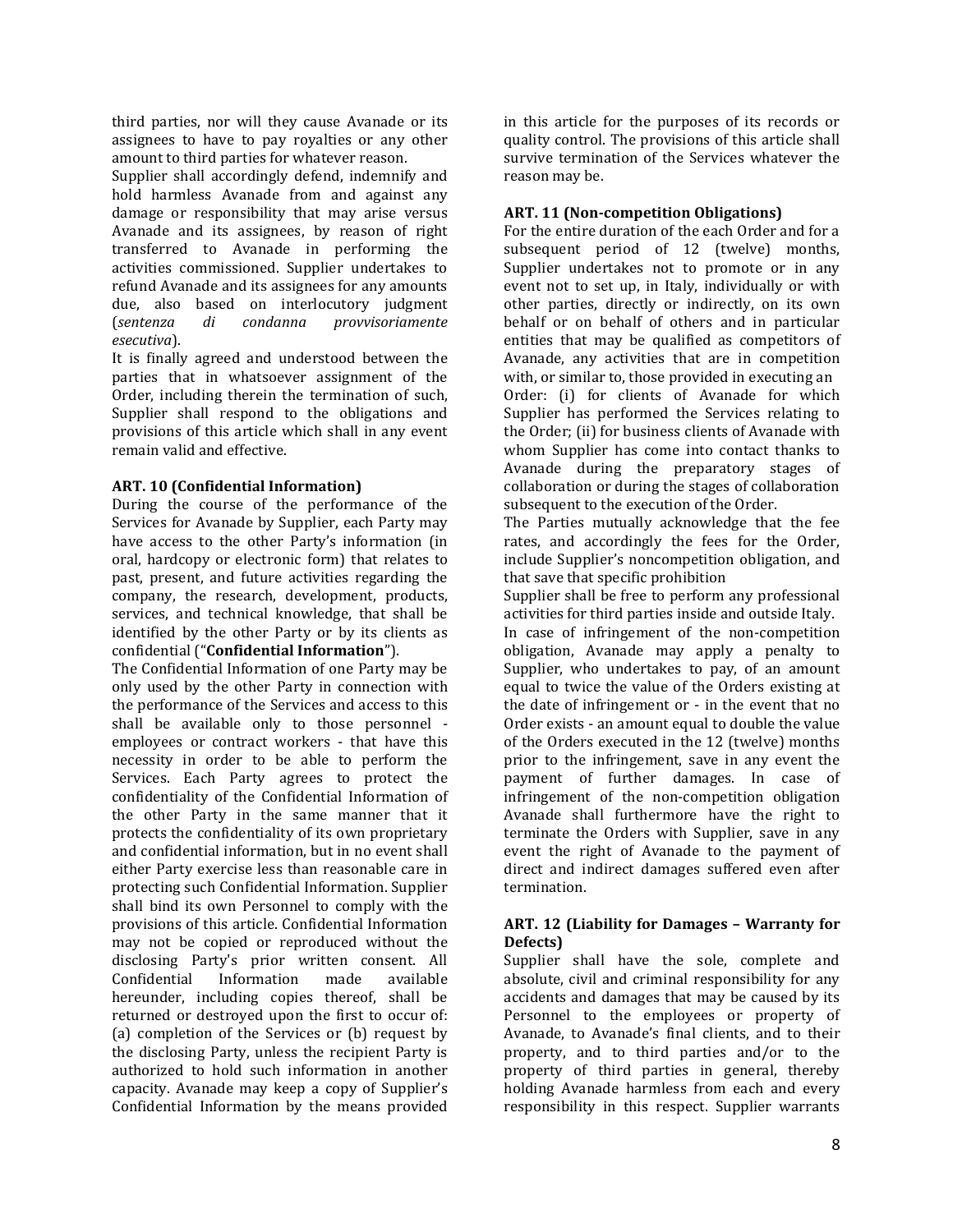third parties, nor will they cause Avanade or its assignees to have to pay royalties or any other amount to third parties for whatever reason.

Supplier shall accordingly defend, indemnify and hold harmless Avanade from and against any damage or responsibility that may arise versus Avanade and its assignees, by reason of right transferred to Avanade in performing the activities commissioned. Supplier undertakes to refund Avanade and its assignees for any amounts due, also based on interlocutory judgment (*sentenza di condanna provvisoriamente esecutiva*).

It is finally agreed and understood between the parties that in whatsoever assignment of the Order, including therein the termination of such, Supplier shall respond to the obligations and provisions of this article which shall in any event remain valid and effective.

## **ART. 10 (Confidential Information)**

During the course of the performance of the Services for Avanade by Supplier, each Party may have access to the other Party's information (in oral, hardcopy or electronic form) that relates to past, present, and future activities regarding the company, the research, development, products, services, and technical knowledge, that shall be identified by the other Party or by its clients as confidential ("**Confidential Information**").

The Confidential Information of one Party may be only used by the other Party in connection with the performance of the Services and access to this shall be available only to those personnel employees or contract workers - that have this necessity in order to be able to perform the Services. Each Party agrees to protect the confidentiality of the Confidential Information of the other Party in the same manner that it protects the confidentiality of its own proprietary and confidential information, but in no event shall either Party exercise less than reasonable care in protecting such Confidential Information. Supplier shall bind its own Personnel to comply with the provisions of this article. Confidential Information may not be copied or reproduced without the disclosing Party's prior written consent. All Confidential Information made available hereunder, including copies thereof, shall be returned or destroyed upon the first to occur of: (a) completion of the Services or (b) request by the disclosing Party, unless the recipient Party is authorized to hold such information in another capacity. Avanade may keep a copy of Supplier's Confidential Information by the means provided

in this article for the purposes of its records or quality control. The provisions of this article shall survive termination of the Services whatever the reason may be.

## **ART. 11 (Non-competition Obligations)**

For the entire duration of the each Order and for a subsequent period of 12 (twelve) months, Supplier undertakes not to promote or in any event not to set up, in Italy, individually or with other parties, directly or indirectly, on its own behalf or on behalf of others and in particular entities that may be qualified as competitors of Avanade, any activities that are in competition with, or similar to, those provided in executing an Order: (i) for clients of Avanade for which Supplier has performed the Services relating to the Order; (ii) for business clients of Avanade with whom Supplier has come into contact thanks to Avanade during the preparatory stages of collaboration or during the stages of collaboration subsequent to the execution of the Order.

The Parties mutually acknowledge that the fee rates, and accordingly the fees for the Order, include Supplier's noncompetition obligation, and that save that specific prohibition

Supplier shall be free to perform any professional activities for third parties inside and outside Italy.

In case of infringement of the non-competition obligation, Avanade may apply a penalty to Supplier, who undertakes to pay, of an amount equal to twice the value of the Orders existing at the date of infringement or - in the event that no Order exists - an amount equal to double the value of the Orders executed in the 12 (twelve) months prior to the infringement, save in any event the payment of further damages. In case of infringement of the non-competition obligation Avanade shall furthermore have the right to terminate the Orders with Supplier, save in any event the right of Avanade to the payment of direct and indirect damages suffered even after termination.

### **ART. 12 (Liability for Damages – Warranty for Defects)**

Supplier shall have the sole, complete and absolute, civil and criminal responsibility for any accidents and damages that may be caused by its Personnel to the employees or property of Avanade, to Avanade's final clients, and to their property, and to third parties and/or to the property of third parties in general, thereby holding Avanade harmless from each and every responsibility in this respect. Supplier warrants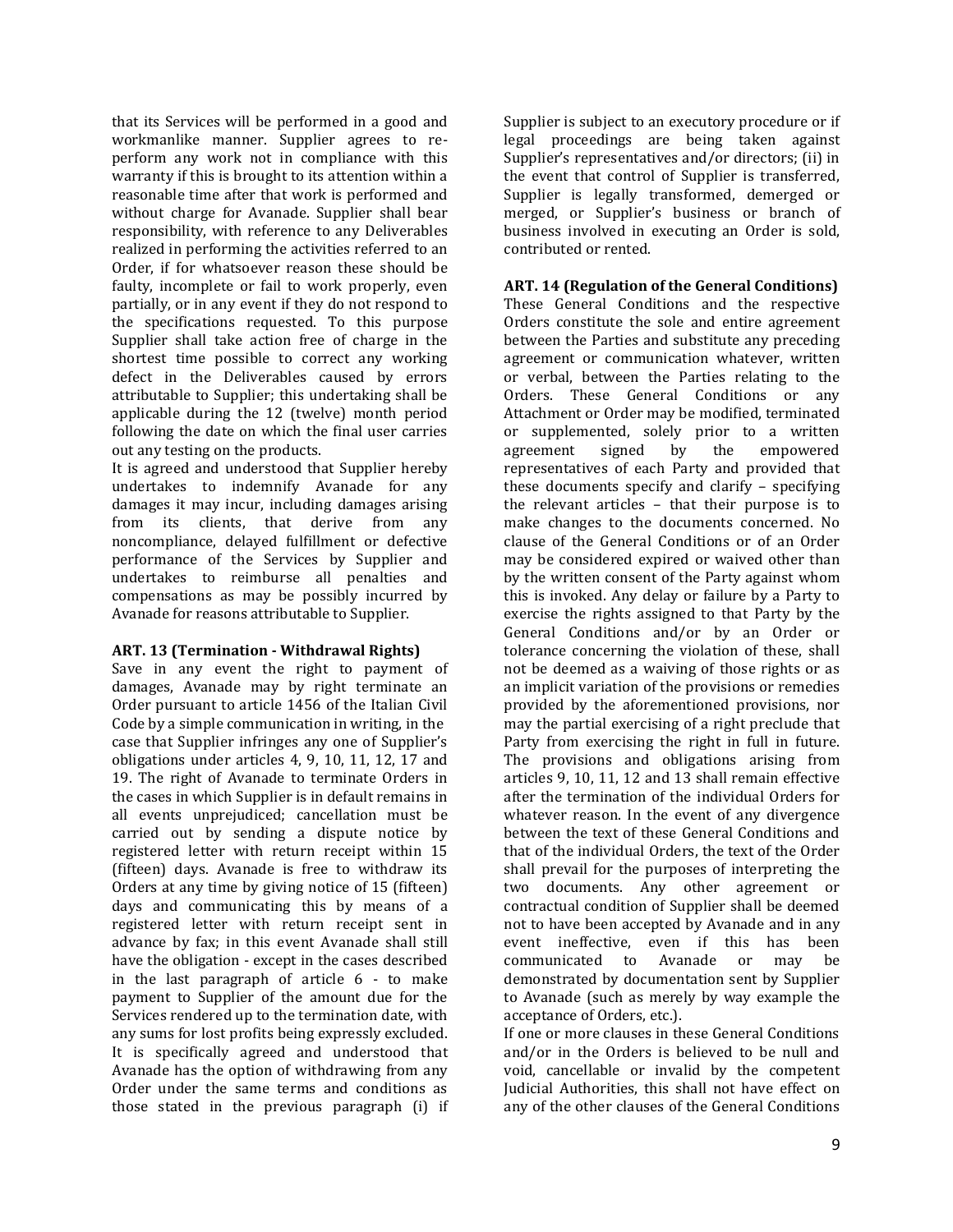that its Services will be performed in a good and workmanlike manner. Supplier agrees to reperform any work not in compliance with this warranty if this is brought to its attention within a reasonable time after that work is performed and without charge for Avanade. Supplier shall bear responsibility, with reference to any Deliverables realized in performing the activities referred to an Order, if for whatsoever reason these should be faulty, incomplete or fail to work properly, even partially, or in any event if they do not respond to the specifications requested. To this purpose Supplier shall take action free of charge in the shortest time possible to correct any working defect in the Deliverables caused by errors attributable to Supplier; this undertaking shall be applicable during the 12 (twelve) month period following the date on which the final user carries out any testing on the products.

It is agreed and understood that Supplier hereby undertakes to indemnify Avanade for any damages it may incur, including damages arising from its clients, that derive from any noncompliance, delayed fulfillment or defective performance of the Services by Supplier and undertakes to reimburse all penalties and compensations as may be possibly incurred by Avanade for reasons attributable to Supplier.

## **ART. 13 (Termination - Withdrawal Rights)**

Save in any event the right to payment of damages, Avanade may by right terminate an Order pursuant to article 1456 of the Italian Civil Code by a simple communication in writing, in the case that Supplier infringes any one of Supplier's obligations under articles 4, 9, 10, 11, 12, 17 and 19. The right of Avanade to terminate Orders in the cases in which Supplier is in default remains in all events unprejudiced; cancellation must be carried out by sending a dispute notice by registered letter with return receipt within 15 (fifteen) days. Avanade is free to withdraw its Orders at any time by giving notice of 15 (fifteen) days and communicating this by means of a registered letter with return receipt sent in advance by fax; in this event Avanade shall still have the obligation - except in the cases described in the last paragraph of article 6 - to make payment to Supplier of the amount due for the Services rendered up to the termination date, with any sums for lost profits being expressly excluded. It is specifically agreed and understood that Avanade has the option of withdrawing from any Order under the same terms and conditions as those stated in the previous paragraph (i) if

Supplier is subject to an executory procedure or if legal proceedings are being taken against Supplier's representatives and/or directors; (ii) in the event that control of Supplier is transferred, Supplier is legally transformed, demerged or merged, or Supplier's business or branch of business involved in executing an Order is sold, contributed or rented.

## **ART. 14 (Regulation of the General Conditions)**

These General Conditions and the respective Orders constitute the sole and entire agreement between the Parties and substitute any preceding agreement or communication whatever, written or verbal, between the Parties relating to the Orders. These General Conditions or any Attachment or Order may be modified, terminated or supplemented, solely prior to a written agreement signed by the empowered representatives of each Party and provided that these documents specify and clarify – specifying the relevant articles – that their purpose is to make changes to the documents concerned. No clause of the General Conditions or of an Order may be considered expired or waived other than by the written consent of the Party against whom this is invoked. Any delay or failure by a Party to exercise the rights assigned to that Party by the General Conditions and/or by an Order or tolerance concerning the violation of these, shall not be deemed as a waiving of those rights or as an implicit variation of the provisions or remedies provided by the aforementioned provisions, nor may the partial exercising of a right preclude that Party from exercising the right in full in future. The provisions and obligations arising from articles 9, 10, 11, 12 and 13 shall remain effective after the termination of the individual Orders for whatever reason. In the event of any divergence between the text of these General Conditions and that of the individual Orders, the text of the Order shall prevail for the purposes of interpreting the two documents. Any other agreement or contractual condition of Supplier shall be deemed not to have been accepted by Avanade and in any event ineffective, even if this has been communicated to Avanade or may be demonstrated by documentation sent by Supplier to Avanade (such as merely by way example the acceptance of Orders, etc.).

If one or more clauses in these General Conditions and/or in the Orders is believed to be null and void, cancellable or invalid by the competent Judicial Authorities, this shall not have effect on any of the other clauses of the General Conditions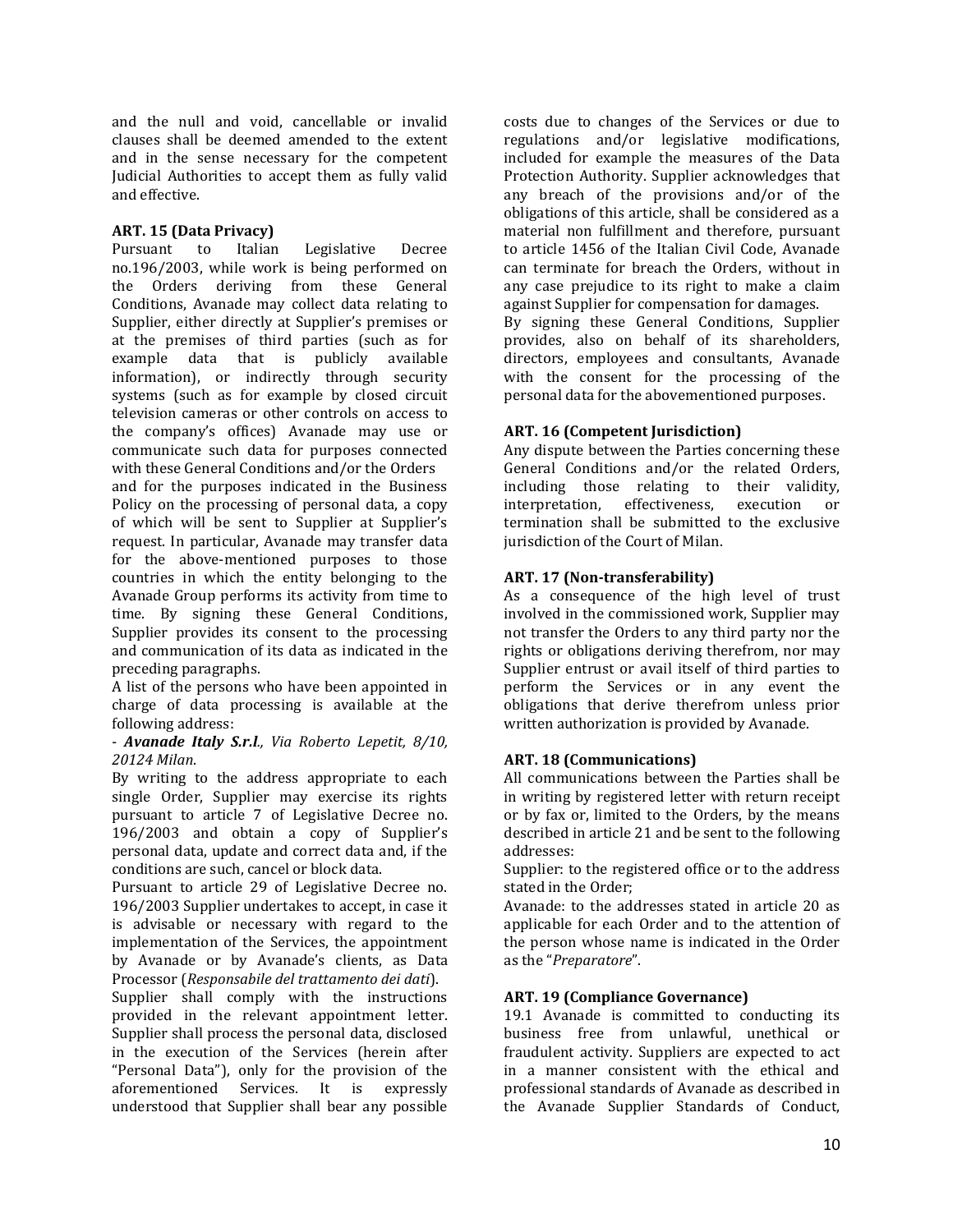and the null and void, cancellable or invalid clauses shall be deemed amended to the extent and in the sense necessary for the competent Judicial Authorities to accept them as fully valid and effective.

## **ART. 15 (Data Privacy)**

Pursuant to Italian Legislative Decree no.196/2003, while work is being performed on the Orders deriving from these General Conditions, Avanade may collect data relating to Supplier, either directly at Supplier's premises or at the premises of third parties (such as for example data that is publicly available information), or indirectly through security systems (such as for example by closed circuit television cameras or other controls on access to the company's offices) Avanade may use or communicate such data for purposes connected with these General Conditions and/or the Orders

and for the purposes indicated in the Business Policy on the processing of personal data, a copy of which will be sent to Supplier at Supplier's request. In particular, Avanade may transfer data for the above-mentioned purposes to those countries in which the entity belonging to the Avanade Group performs its activity from time to time. By signing these General Conditions, Supplier provides its consent to the processing and communication of its data as indicated in the preceding paragraphs.

A list of the persons who have been appointed in charge of data processing is available at the following address:

### - *Avanade Italy S.r.l., Via Roberto Lepetit, 8/10, 20124 Milan*.

By writing to the address appropriate to each single Order, Supplier may exercise its rights pursuant to article 7 of Legislative Decree no. 196/2003 and obtain a copy of Supplier's personal data, update and correct data and, if the conditions are such, cancel or block data.

Pursuant to article 29 of Legislative Decree no. 196/2003 Supplier undertakes to accept, in case it is advisable or necessary with regard to the implementation of the Services, the appointment by Avanade or by Avanade's clients, as Data Processor (*Responsabile del trattamento dei dati*).

Supplier shall comply with the instructions provided in the relevant appointment letter. Supplier shall process the personal data, disclosed in the execution of the Services (herein after "Personal Data"), only for the provision of the aforementioned Services. It is expressly understood that Supplier shall bear any possible

costs due to changes of the Services or due to regulations and/or legislative modifications, included for example the measures of the Data Protection Authority. Supplier acknowledges that any breach of the provisions and/or of the obligations of this article, shall be considered as a material non fulfillment and therefore, pursuant to article 1456 of the Italian Civil Code, Avanade can terminate for breach the Orders, without in any case prejudice to its right to make a claim against Supplier for compensation for damages.

By signing these General Conditions, Supplier provides, also on behalf of its shareholders, directors, employees and consultants, Avanade with the consent for the processing of the personal data for the abovementioned purposes.

## **ART. 16 (Competent Jurisdiction)**

Any dispute between the Parties concerning these General Conditions and/or the related Orders, including those relating to their validity, interpretation, effectiveness, execution or termination shall be submitted to the exclusive jurisdiction of the Court of Milan.

## **ART. 17 (Non-transferability)**

As a consequence of the high level of trust involved in the commissioned work, Supplier may not transfer the Orders to any third party nor the rights or obligations deriving therefrom, nor may Supplier entrust or avail itself of third parties to perform the Services or in any event the obligations that derive therefrom unless prior written authorization is provided by Avanade.

### **ART. 18 (Communications)**

All communications between the Parties shall be in writing by registered letter with return receipt or by fax or, limited to the Orders, by the means described in article 21 and be sent to the following addresses:

Supplier: to the registered office or to the address stated in the Order;

Avanade: to the addresses stated in article 20 as applicable for each Order and to the attention of the person whose name is indicated in the Order as the "*Preparatore*".

### **ART. 19 (Compliance Governance)**

19.1 Avanade is committed to conducting its business free from unlawful, unethical or fraudulent activity. Suppliers are expected to act in a manner consistent with the ethical and professional standards of Avanade as described in the Avanade Supplier Standards of Conduct,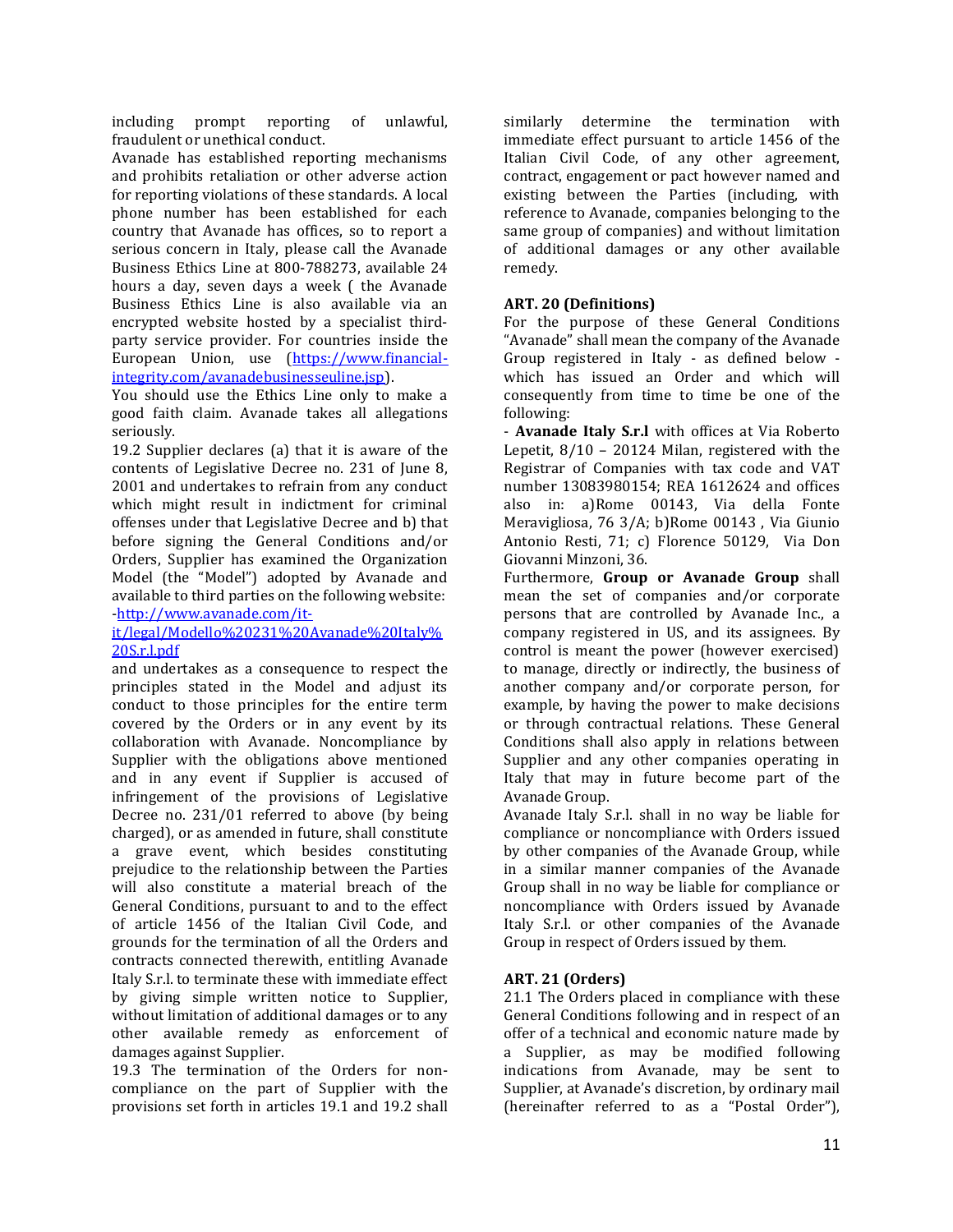including prompt reporting of unlawful, fraudulent or unethical conduct.

Avanade has established reporting mechanisms and prohibits retaliation or other adverse action for reporting violations of these standards. A local phone number has been established for each country that Avanade has offices, so to report a serious concern in Italy, please call the Avanade Business Ethics Line at 800-788273, available 24 hours a day, seven days a week ( the Avanade Business Ethics Line is also available via an encrypted website hosted by a specialist thirdparty service provider. For countries inside the European Union, use [\(https://www.financial](https://www.financial-integrity.com/avanadebusinesseuline.jsp)[integrity.com/avanadebusinesseuline.jsp\)](https://www.financial-integrity.com/avanadebusinesseuline.jsp).

You should use the Ethics Line only to make a good faith claim. Avanade takes all allegations seriously.

19.2 Supplier declares (a) that it is aware of the contents of Legislative Decree no. 231 of June 8, 2001 and undertakes to refrain from any conduct which might result in indictment for criminal offenses under that Legislative Decree and b) that before signing the General Conditions and/or Orders, Supplier has examined the Organization Model (the "Model") adopted by Avanade and available to third parties on the following website: [-http://www.avanade.com/it-](http://www.avanade.com/it-it/legal/Modello%20231%20Avanade%20Italy%20S.r.l.pdf)

## [it/legal/Modello%20231%20Avanade%20Italy%](http://www.avanade.com/it-it/legal/Modello%20231%20Avanade%20Italy%20S.r.l.pdf) [20S.r.l.pdf](http://www.avanade.com/it-it/legal/Modello%20231%20Avanade%20Italy%20S.r.l.pdf)

and undertakes as a consequence to respect the principles stated in the Model and adjust its conduct to those principles for the entire term covered by the Orders or in any event by its collaboration with Avanade. Noncompliance by Supplier with the obligations above mentioned and in any event if Supplier is accused of infringement of the provisions of Legislative Decree no. 231/01 referred to above (by being charged), or as amended in future, shall constitute a grave event, which besides constituting prejudice to the relationship between the Parties will also constitute a material breach of the General Conditions, pursuant to and to the effect of article 1456 of the Italian Civil Code, and grounds for the termination of all the Orders and contracts connected therewith, entitling Avanade Italy S.r.l. to terminate these with immediate effect by giving simple written notice to Supplier, without limitation of additional damages or to any other available remedy as enforcement of damages against Supplier.

19.3 The termination of the Orders for noncompliance on the part of Supplier with the provisions set forth in articles 19.1 and 19.2 shall similarly determine the termination with immediate effect pursuant to article 1456 of the Italian Civil Code, of any other agreement, contract, engagement or pact however named and existing between the Parties (including, with reference to Avanade, companies belonging to the same group of companies) and without limitation of additional damages or any other available remedy.

## **ART. 20 (Definitions)**

For the purpose of these General Conditions "Avanade" shall mean the company of the Avanade Group registered in Italy - as defined below which has issued an Order and which will consequently from time to time be one of the following:

- **Avanade Italy S.r.l** with offices at Via Roberto Lepetit, 8/10 – 20124 Milan, registered with the Registrar of Companies with tax code and VAT number 13083980154; REA 1612624 and offices also in: a)Rome 00143, Via della Fonte Meravigliosa, 76 3/A; b)Rome 00143 , Via Giunio Antonio Resti, 71; c) Florence 50129, Via Don Giovanni Minzoni, 36.

Furthermore, **Group or Avanade Group** shall mean the set of companies and/or corporate persons that are controlled by Avanade Inc., a company registered in US, and its assignees. By control is meant the power (however exercised) to manage, directly or indirectly, the business of another company and/or corporate person, for example, by having the power to make decisions or through contractual relations. These General Conditions shall also apply in relations between Supplier and any other companies operating in Italy that may in future become part of the Avanade Group.

Avanade Italy S.r.l. shall in no way be liable for compliance or noncompliance with Orders issued by other companies of the Avanade Group, while in a similar manner companies of the Avanade Group shall in no way be liable for compliance or noncompliance with Orders issued by Avanade Italy S.r.l. or other companies of the Avanade Group in respect of Orders issued by them.

## **ART. 21 (Orders)**

21.1 The Orders placed in compliance with these General Conditions following and in respect of an offer of a technical and economic nature made by a Supplier, as may be modified following indications from Avanade, may be sent to Supplier, at Avanade's discretion, by ordinary mail (hereinafter referred to as a "Postal Order"),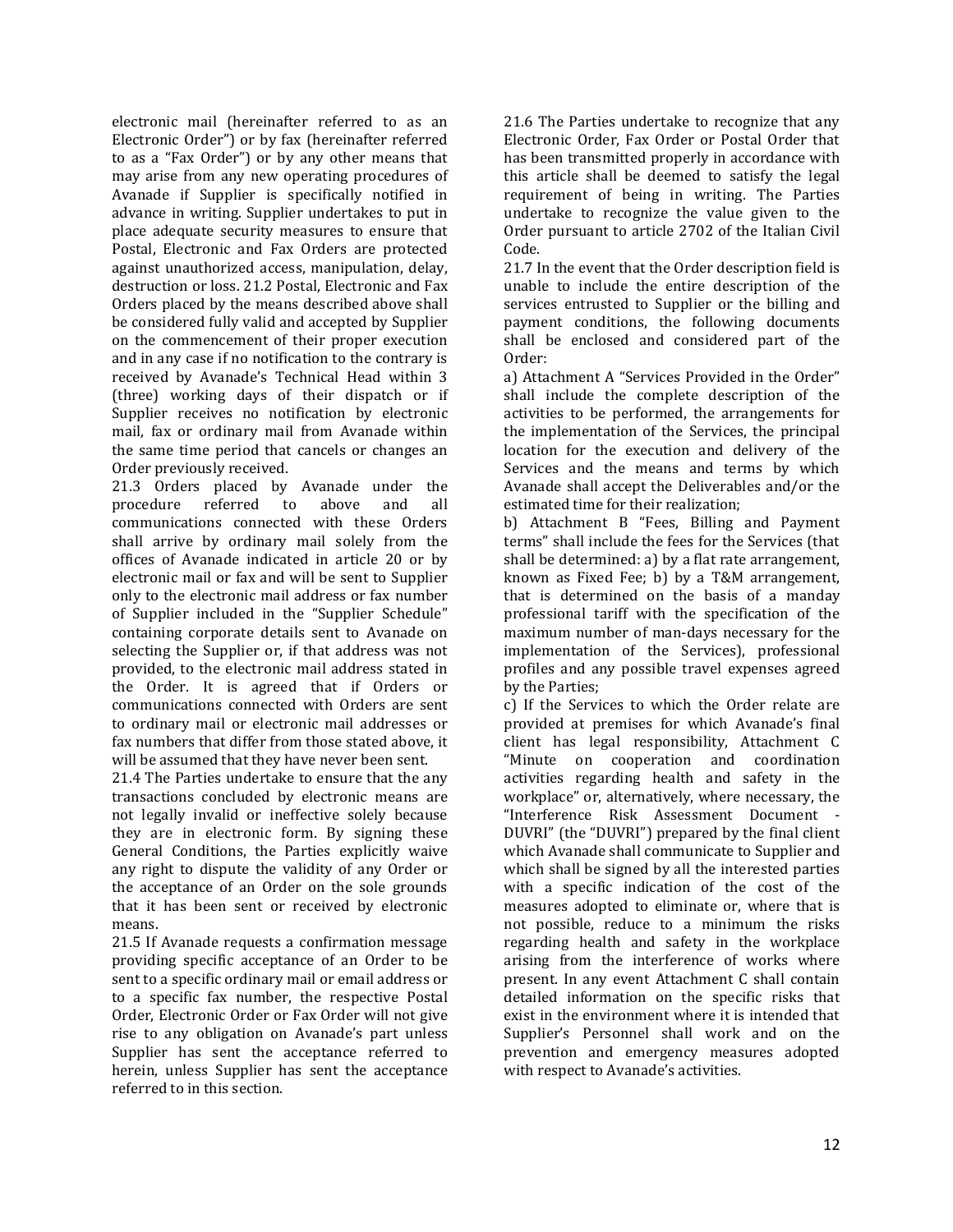electronic mail (hereinafter referred to as an Electronic Order") or by fax (hereinafter referred to as a "Fax Order") or by any other means that may arise from any new operating procedures of Avanade if Supplier is specifically notified in advance in writing. Supplier undertakes to put in place adequate security measures to ensure that Postal, Electronic and Fax Orders are protected against unauthorized access, manipulation, delay, destruction or loss. 21.2 Postal, Electronic and Fax Orders placed by the means described above shall be considered fully valid and accepted by Supplier on the commencement of their proper execution and in any case if no notification to the contrary is received by Avanade's Technical Head within 3 (three) working days of their dispatch or if Supplier receives no notification by electronic mail, fax or ordinary mail from Avanade within the same time period that cancels or changes an Order previously received.

21.3 Orders placed by Avanade under the procedure referred to above and all communications connected with these Orders shall arrive by ordinary mail solely from the offices of Avanade indicated in article 20 or by electronic mail or fax and will be sent to Supplier only to the electronic mail address or fax number of Supplier included in the "Supplier Schedule" containing corporate details sent to Avanade on selecting the Supplier or, if that address was not provided, to the electronic mail address stated in the Order. It is agreed that if Orders or communications connected with Orders are sent to ordinary mail or electronic mail addresses or fax numbers that differ from those stated above, it will be assumed that they have never been sent.

21.4 The Parties undertake to ensure that the any transactions concluded by electronic means are not legally invalid or ineffective solely because they are in electronic form. By signing these General Conditions, the Parties explicitly waive any right to dispute the validity of any Order or the acceptance of an Order on the sole grounds that it has been sent or received by electronic means.

21.5 If Avanade requests a confirmation message providing specific acceptance of an Order to be sent to a specific ordinary mail or email address or to a specific fax number, the respective Postal Order, Electronic Order or Fax Order will not give rise to any obligation on Avanade's part unless Supplier has sent the acceptance referred to herein, unless Supplier has sent the acceptance referred to in this section.

21.6 The Parties undertake to recognize that any Electronic Order, Fax Order or Postal Order that has been transmitted properly in accordance with this article shall be deemed to satisfy the legal requirement of being in writing. The Parties undertake to recognize the value given to the Order pursuant to article 2702 of the Italian Civil Code.

21.7 In the event that the Order description field is unable to include the entire description of the services entrusted to Supplier or the billing and payment conditions, the following documents shall be enclosed and considered part of the Order:

a) Attachment A "Services Provided in the Order" shall include the complete description of the activities to be performed, the arrangements for the implementation of the Services, the principal location for the execution and delivery of the Services and the means and terms by which Avanade shall accept the Deliverables and/or the estimated time for their realization;

b) Attachment B "Fees, Billing and Payment terms" shall include the fees for the Services (that shall be determined: a) by a flat rate arrangement, known as Fixed Fee; b) by a T&M arrangement, that is determined on the basis of a manday professional tariff with the specification of the maximum number of man-days necessary for the implementation of the Services), professional profiles and any possible travel expenses agreed by the Parties;

c) If the Services to which the Order relate are provided at premises for which Avanade's final client has legal responsibility, Attachment C "Minute on cooperation and coordination activities regarding health and safety in the workplace" or, alternatively, where necessary, the "Interference Risk Assessment Document - DUVRI" (the "DUVRI") prepared by the final client which Avanade shall communicate to Supplier and which shall be signed by all the interested parties with a specific indication of the cost of the measures adopted to eliminate or, where that is not possible, reduce to a minimum the risks regarding health and safety in the workplace arising from the interference of works where present. In any event Attachment C shall contain detailed information on the specific risks that exist in the environment where it is intended that Supplier's Personnel shall work and on the prevention and emergency measures adopted with respect to Avanade's activities.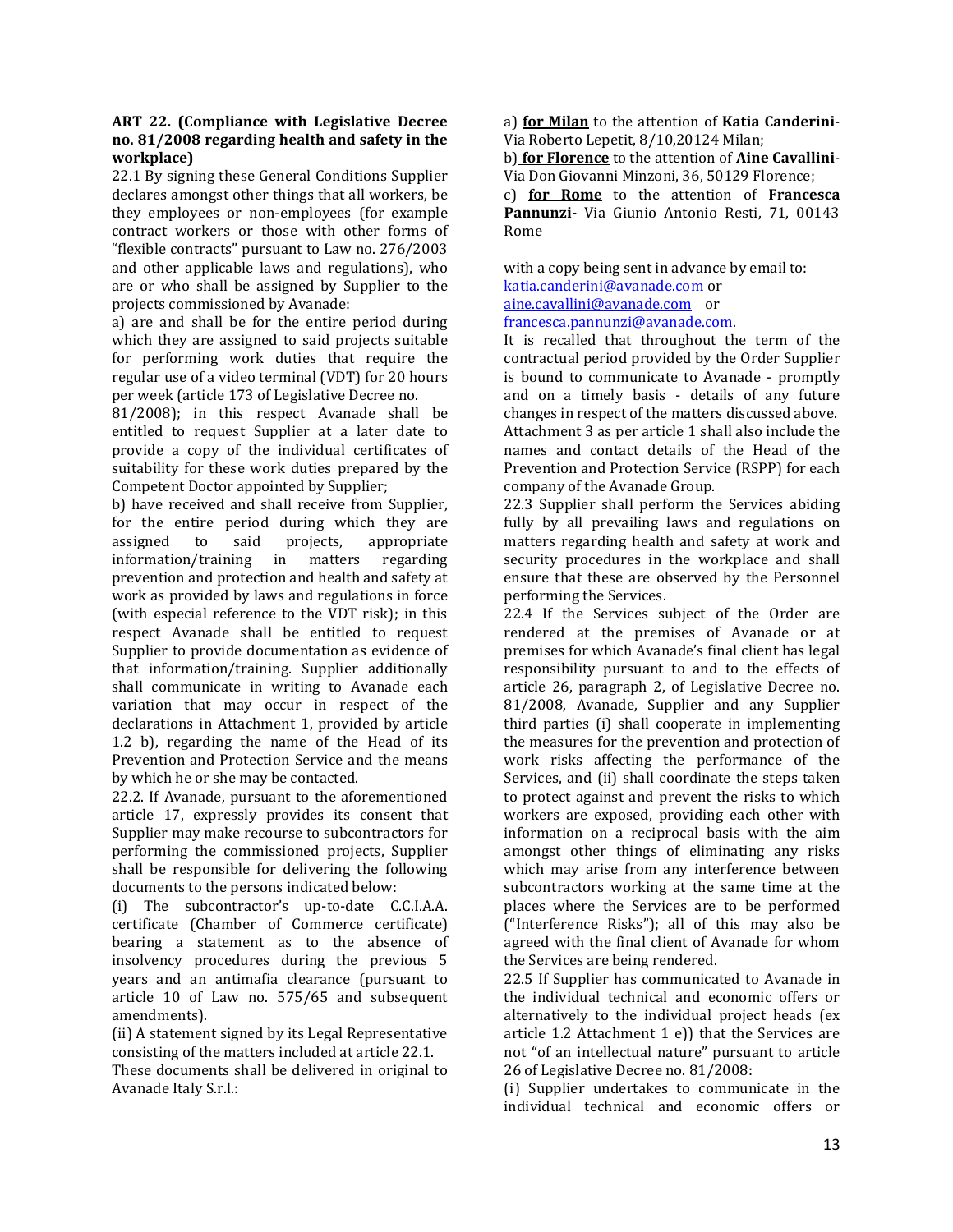#### **ART 22. (Compliance with Legislative Decree no. 81/2008 regarding health and safety in the workplace)**

22.1 By signing these General Conditions Supplier declares amongst other things that all workers, be they employees or non-employees (for example contract workers or those with other forms of "flexible contracts" pursuant to Law no. 276/2003 and other applicable laws and regulations), who are or who shall be assigned by Supplier to the projects commissioned by Avanade:

a) are and shall be for the entire period during which they are assigned to said projects suitable for performing work duties that require the regular use of a video terminal (VDT) for 20 hours per week (article 173 of Legislative Decree no.

81/2008); in this respect Avanade shall be entitled to request Supplier at a later date to provide a copy of the individual certificates of suitability for these work duties prepared by the Competent Doctor appointed by Supplier;

b) have received and shall receive from Supplier, for the entire period during which they are assigned to said projects, appropriate<br>information/training in matters regarding information/training in matters regarding prevention and protection and health and safety at work as provided by laws and regulations in force (with especial reference to the VDT risk); in this respect Avanade shall be entitled to request Supplier to provide documentation as evidence of that information/training. Supplier additionally shall communicate in writing to Avanade each variation that may occur in respect of the declarations in Attachment 1, provided by article 1.2 b), regarding the name of the Head of its Prevention and Protection Service and the means by which he or she may be contacted.

22.2. If Avanade, pursuant to the aforementioned article 17, expressly provides its consent that Supplier may make recourse to subcontractors for performing the commissioned projects, Supplier shall be responsible for delivering the following documents to the persons indicated below:

(i) The subcontractor's up-to-date C.C.I.A.A. certificate (Chamber of Commerce certificate) bearing a statement as to the absence of insolvency procedures during the previous 5 years and an antimafia clearance (pursuant to article 10 of Law no. 575/65 and subsequent amendments).

(ii) A statement signed by its Legal Representative consisting of the matters included at article 22.1.

These documents shall be delivered in original to Avanade Italy S.r.l.:

a) **for Milan** to the attention of **Katia Canderini**-Via Roberto Lepetit, 8/10,20124 Milan;

b) **for Florence** to the attention of **Aine Cavallini**-Via Don Giovanni Minzoni, 36, 50129 Florence;

c) **for Rome** to the attention of **Francesca Pannunzi-** Via Giunio Antonio Resti, 71, 00143 Rome

with a copy being sent in advance by email to: [katia.canderini@avanade.com](mailto:katia.canderini@avanade.com) or [aine.cavallini@avanade.com](mailto:aine.cavallini@avanade.com) or [francesca.pannunzi@avanade.com.](mailto:francesca.pannunzi@avanade.com)

It is recalled that throughout the term of the contractual period provided by the Order Supplier is bound to communicate to Avanade - promptly and on a timely basis - details of any future changes in respect of the matters discussed above. Attachment 3 as per article 1 shall also include the names and contact details of the Head of the Prevention and Protection Service (RSPP) for each company of the Avanade Group.

22.3 Supplier shall perform the Services abiding fully by all prevailing laws and regulations on matters regarding health and safety at work and security procedures in the workplace and shall ensure that these are observed by the Personnel performing the Services.

22.4 If the Services subject of the Order are rendered at the premises of Avanade or at premises for which Avanade's final client has legal responsibility pursuant to and to the effects of article 26, paragraph 2, of Legislative Decree no. 81/2008, Avanade, Supplier and any Supplier third parties (i) shall cooperate in implementing the measures for the prevention and protection of work risks affecting the performance of the Services, and (ii) shall coordinate the steps taken to protect against and prevent the risks to which workers are exposed, providing each other with information on a reciprocal basis with the aim amongst other things of eliminating any risks which may arise from any interference between subcontractors working at the same time at the places where the Services are to be performed ("Interference Risks"); all of this may also be agreed with the final client of Avanade for whom the Services are being rendered.

22.5 If Supplier has communicated to Avanade in the individual technical and economic offers or alternatively to the individual project heads (ex article 1.2 Attachment 1 e)) that the Services are not "of an intellectual nature" pursuant to article 26 of Legislative Decree no. 81/2008:

(i) Supplier undertakes to communicate in the individual technical and economic offers or